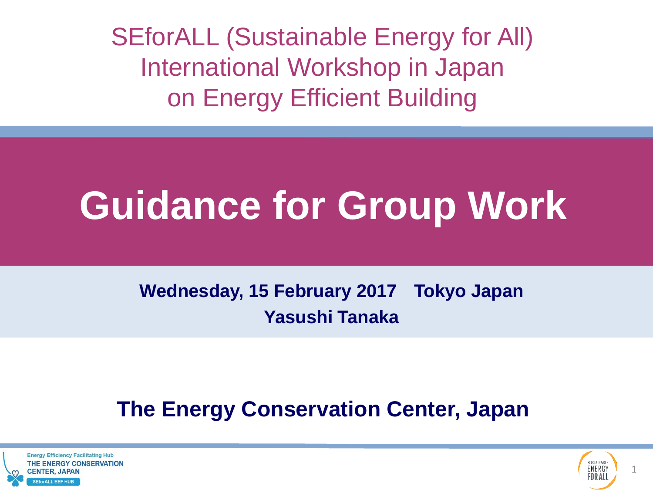SEforALL (Sustainable Energy for All) International Workshop in Japan on Energy Efficient Building

# **Guidance for Group Work**

**Wednesday, 15 February 2017 Tokyo Japan Yasushi Tanaka**

### **The Energy Conservation Center, Japan**



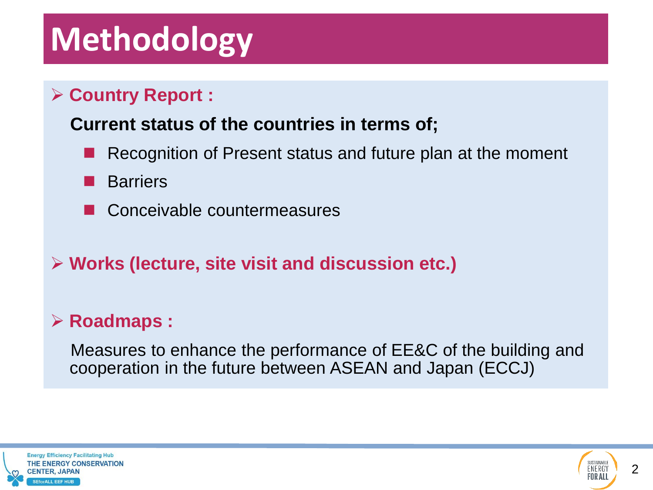### **Methodology**

#### **Country Report :**

#### **Current status of the countries in terms of;**

- Recognition of Present status and future plan at the moment
- **Barriers**
- Conceivable countermeasures
- **Works (lecture, site visit and discussion etc.)**

#### **Roadmaps :**

 Measures to enhance the performance of EE&C of the building and cooperation in the future between ASEAN and Japan (ECCJ)



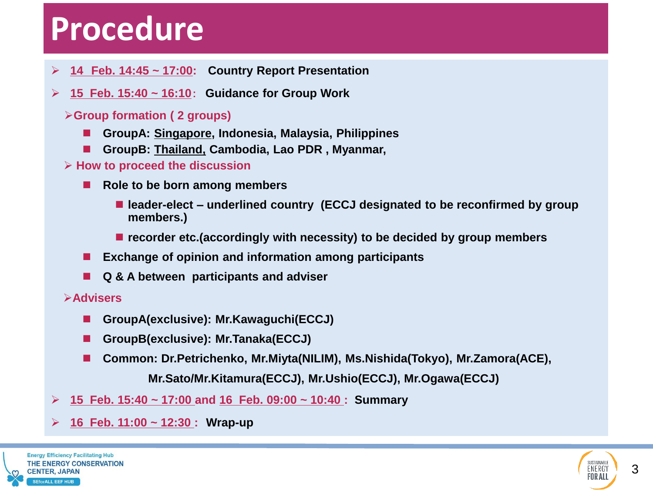### **Procedure**

- **14 Feb. 14:45 ~ 17:00: Country Report Presentation**
- **15 Feb. 15:40 ~ 16:10**: **Guidance for Group Work**
	- **Group formation ( 2 groups)**
		- **GroupA: Singapore, Indonesia, Malaysia, Philippines**
		- **GroupB: Thailand, Cambodia, Lao PDR , Myanmar,**
	- **How to proceed the discussion** 
		- Role to be born among members
			- leader-elect underlined country (ECCJ designated to be reconfirmed by group **members.)**
			- recorder etc.(accordingly with necessity) to be decided by group members
		- **Exchange of opinion and information among participants**
		- **Q & A between participants and adviser**

#### **Advisers**

- **GroupA(exclusive): Mr.Kawaguchi(ECCJ)**
- **GroupB(exclusive): Mr.Tanaka(ECCJ)**
- **Common: Dr.Petrichenko, Mr.Miyta(NILIM), Ms.Nishida(Tokyo), Mr.Zamora(ACE),**

 **Mr.Sato/Mr.Kitamura(ECCJ), Mr.Ushio(ECCJ), Mr.Ogawa(ECCJ)**

- **15 Feb. 15:40 ~ 17:00 and 16 Feb. 09:00 ~ 10:40 : Summary**
- **16 Feb. 11:00 ~ 12:30 : Wrap-up**



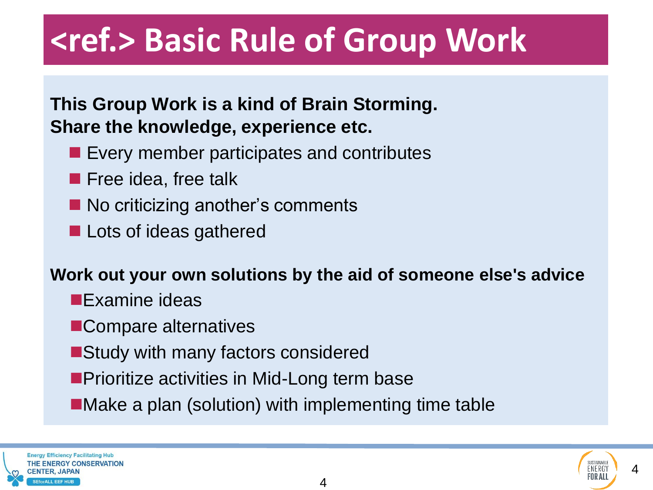### **<ref.> Basic Rule of Group Work**

#### **This Group Work is a kind of Brain Storming. Share the knowledge, experience etc.**

- **Exery member participates and contributes**
- **Filter Free idea, free talk**
- No criticizing another's comments
- **Lots of ideas gathered**

#### **Work out your own solutions by the aid of someone else's advice**

- **Examine ideas**
- **ECompare alternatives**
- ■Study with many factors considered
- **Prioritize activities in Mid-Long term base**
- ■Make a plan (solution) with implementing time table

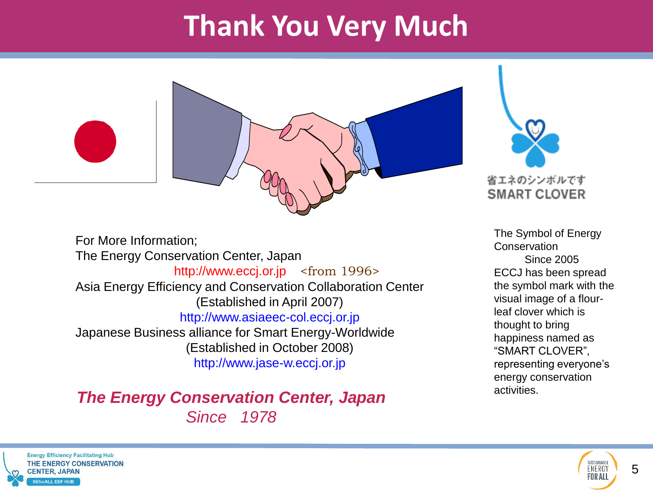### **Thank You Very Much**





For More Information; The Energy Conservation Center, Japan http://www.eccj.or.jp <from 1996> Asia Energy Efficiency and Conservation Collaboration Center (Established in April 2007) http://www.asiaeec-col.eccj.or.jp Japanese Business alliance for Smart Energy-Worldwide (Established in October 2008) http://www.jase-w.eccj.or.jp

#### *The Energy Conservation Center, Japan Since 1978*

The Symbol of Energy **Conservation**  Since 2005 ECCJ has been spread the symbol mark with the visual image of a flourleaf clover which is thought to bring happiness named as "SMART CLOVER", representing everyone's energy conservation activities.



SUSTAINABL

ENERGY

FOR ALL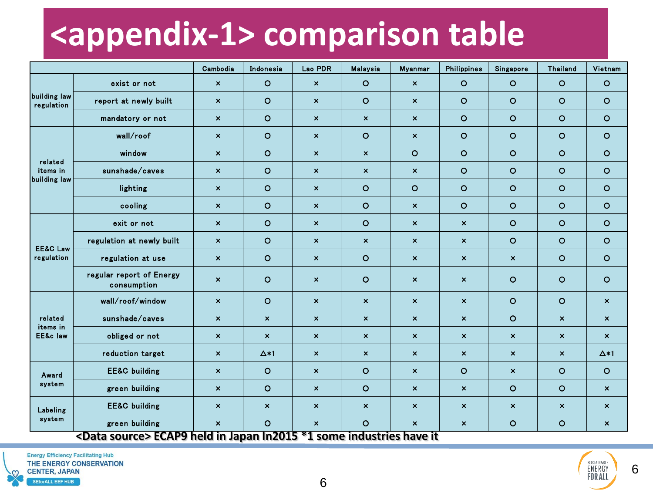### **<appendix-1> comparison table**

|                                     |                                                                | Cambodia                  | Indonesia                 | Lao PDR                   | Malaysia                               | <b>Myanmar</b>            | <b>Philippines</b>        | Singapore                 | Thailand                  | Vietnam                   |
|-------------------------------------|----------------------------------------------------------------|---------------------------|---------------------------|---------------------------|----------------------------------------|---------------------------|---------------------------|---------------------------|---------------------------|---------------------------|
| building law<br>regulation          | exist or not                                                   | $\boldsymbol{\mathsf{x}}$ | $\circ$                   | $\boldsymbol{\mathsf{x}}$ | $\circ$                                | $\boldsymbol{\mathsf{x}}$ | $\circ$                   | $\circ$                   | $\circ$                   | $\circ$                   |
|                                     | report at newly built                                          | $\mathsf{x}$              | $\circ$                   | $\mathsf{x}$              | $\circ$                                | $\boldsymbol{\mathsf{x}}$ | $\circ$                   | $\circ$                   | $\circ$                   | $\circ$                   |
|                                     | mandatory or not                                               | $\pmb{\times}$            | $\circ$                   | $\boldsymbol{\mathsf{x}}$ | $\boldsymbol{\mathsf{x}}$              | $\boldsymbol{\mathsf{x}}$ | $\circ$                   | $\circ$                   | $\circ$                   | $\circ$                   |
| related<br>items in<br>building law | wall/roof                                                      | $\boldsymbol{\mathsf{x}}$ | $\circ$                   | $\mathsf{x}$              | $\circ$                                | $\boldsymbol{\mathsf{x}}$ | $\circ$                   | $\circ$                   | $\circ$                   | $\circ$                   |
|                                     | window                                                         | $\pmb{\times}$            | $\circ$                   | $\boldsymbol{\times}$     | $\boldsymbol{\mathsf{x}}$              | $\circ$                   | $\circ$                   | $\circ$                   | $\circ$                   | $\circ$                   |
|                                     | sunshade/caves                                                 | $\boldsymbol{\mathsf{x}}$ | $\circ$                   | $\mathsf{x}$              | $\mathsf{x}$                           | $\boldsymbol{\mathsf{x}}$ | $\circ$                   | $\circ$                   | $\circ$                   | $\circ$                   |
|                                     | lighting                                                       | $\boldsymbol{\mathsf{x}}$ | $\circ$                   | $\boldsymbol{\mathsf{x}}$ | $\circ$                                | $\circ$                   | $\circ$                   | O                         | $\circ$                   | $\circ$                   |
|                                     | cooling                                                        | $\boldsymbol{\mathsf{x}}$ | $\circ$                   | $\mathsf{x}$              | $\circ$                                | $\mathsf{x}$              | $\circ$                   | $\circ$                   | $\circ$                   | $\circ$                   |
| <b>EE&amp;C Law</b><br>regulation   | exit or not                                                    | $\boldsymbol{\mathsf{x}}$ | $\circ$                   | $\boldsymbol{\mathsf{x}}$ | $\circ$                                | $\boldsymbol{\mathsf{x}}$ | $\boldsymbol{\mathsf{x}}$ | $\circ$                   | $\circ$                   | $\circ$                   |
|                                     | regulation at newly built                                      | $\boldsymbol{\mathsf{x}}$ | $\circ$                   | $\boldsymbol{\mathsf{x}}$ | $\boldsymbol{\mathsf{x}}$              | $\boldsymbol{\mathsf{x}}$ | $\boldsymbol{\mathsf{x}}$ | $\circ$                   | $\circ$                   | $\circ$                   |
|                                     | regulation at use                                              | $\boldsymbol{\mathsf{x}}$ | $\circ$                   | $\boldsymbol{\mathsf{x}}$ | $\circ$                                | $\boldsymbol{\mathsf{x}}$ | $\pmb{\times}$            | $\pmb{\times}$            | $\circ$                   | $\circ$                   |
|                                     | regular report of Energy<br>consumption                        | $\pmb{\times}$            | $\circ$                   | $\boldsymbol{\mathsf{x}}$ | $\circ$                                | $\boldsymbol{\mathsf{x}}$ | $\boldsymbol{\mathsf{x}}$ | $\circ$                   | $\circ$                   | $\circ$                   |
| related<br>items in<br>EE&c law     | wall/roof/window                                               | $\boldsymbol{\mathsf{x}}$ | $\circ$                   | $\boldsymbol{\mathsf{x}}$ | $\boldsymbol{\mathsf{x}}$              | $\boldsymbol{\mathsf{x}}$ | $\boldsymbol{\mathsf{x}}$ | $\circ$                   | $\circ$                   | $\boldsymbol{\mathsf{x}}$ |
|                                     | sunshade/caves                                                 | $\boldsymbol{\mathsf{x}}$ | $\boldsymbol{\mathsf{x}}$ | $\boldsymbol{\mathsf{x}}$ | $\boldsymbol{\mathsf{x}}$              | $\boldsymbol{\mathsf{x}}$ | $\boldsymbol{\mathsf{x}}$ | O                         | $\boldsymbol{\mathsf{x}}$ | $\boldsymbol{\mathsf{x}}$ |
|                                     | obliged or not                                                 | $\boldsymbol{\mathsf{x}}$ | $\boldsymbol{\mathsf{x}}$ | $\boldsymbol{\mathsf{x}}$ | $\boldsymbol{\mathsf{x}}$              | $\boldsymbol{\mathsf{x}}$ | $\boldsymbol{\mathsf{x}}$ | $\pmb{\times}$            | $\boldsymbol{\mathsf{x}}$ | $\boldsymbol{\mathsf{x}}$ |
|                                     | reduction target                                               | $\boldsymbol{\mathsf{x}}$ | $\Delta$ *1               | $\boldsymbol{\mathsf{x}}$ | $\boldsymbol{\mathsf{x}}$              | $\boldsymbol{\mathsf{x}}$ | $\boldsymbol{\mathsf{x}}$ | $\boldsymbol{\mathsf{x}}$ | $\boldsymbol{\mathsf{x}}$ | $\Delta$ *1               |
| Award<br>system                     | <b>EE&amp;C</b> building                                       | $\boldsymbol{\mathsf{x}}$ | $\circ$                   | $\pmb{\times}$            | $\circ$                                | $\boldsymbol{\mathsf{x}}$ | $\circ$                   | $\pmb{\times}$            | $\circ$                   | $\circ$                   |
|                                     | green building                                                 | $\boldsymbol{\mathsf{x}}$ | $\circ$                   | $\boldsymbol{\mathsf{x}}$ | $\circ$                                | $\boldsymbol{\mathsf{x}}$ | $\boldsymbol{\mathsf{x}}$ | O                         | $\circ$                   | $\boldsymbol{\mathsf{x}}$ |
| Labeling<br>system                  | <b>EE&amp;C</b> building                                       | $\boldsymbol{\mathsf{x}}$ | $\boldsymbol{\mathsf{x}}$ | $\pmb{\times}$            | $\boldsymbol{\mathsf{x}}$              | $\boldsymbol{\mathsf{x}}$ | $\boldsymbol{\mathsf{x}}$ | $\pmb{\times}$            | $\boldsymbol{\mathsf{x}}$ | $\boldsymbol{\mathsf{x}}$ |
|                                     | green building<br><b>CHARL FOADO hald in Jon</b><br>$\sqrt{2}$ | $\boldsymbol{\mathsf{x}}$ | $\circ$<br>20.122045      | $\pmb{\times}$            | $\circ$<br>$l$ and $l$ and $l$ and $l$ | $\pmb{\times}$<br>k       | $\boldsymbol{\mathsf{x}}$ | O                         | O                         | $\boldsymbol{\mathsf{x}}$ |

**<Data source> ECAP9 held in Japan In2015 \*1 some industries have it**

SEforALL EEF HUB

 $\Omega$ 

6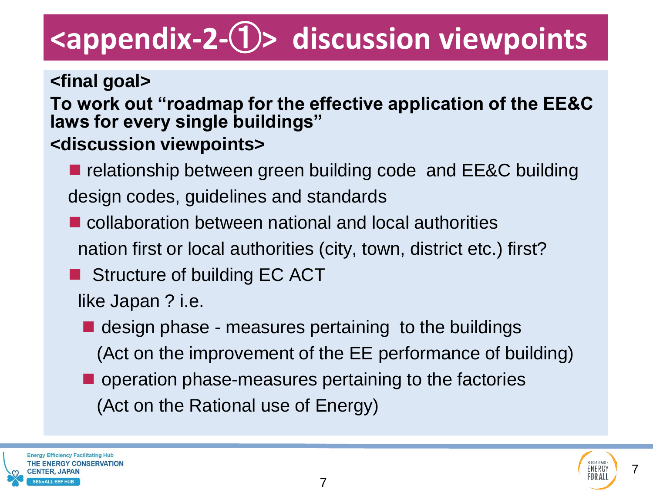### **<appendix-2-**①**> discussion viewpoints**

**<final goal> To work out "roadmap for the effective application of the EE&C laws for every single buildings" <discussion viewpoints>**

■ relationship between green building code and EE&C building design codes, guidelines and standards

- collaboration between national and local authorities nation first or local authorities (city, town, district etc.) first?
- Structure of building EC ACT
	- like Japan ? i.e.
	- $\blacksquare$  design phase measures pertaining to the buildings (Act on the improvement of the EE performance of building)
	- **n** operation phase-measures pertaining to the factories (Act on the Rational use of Energy)